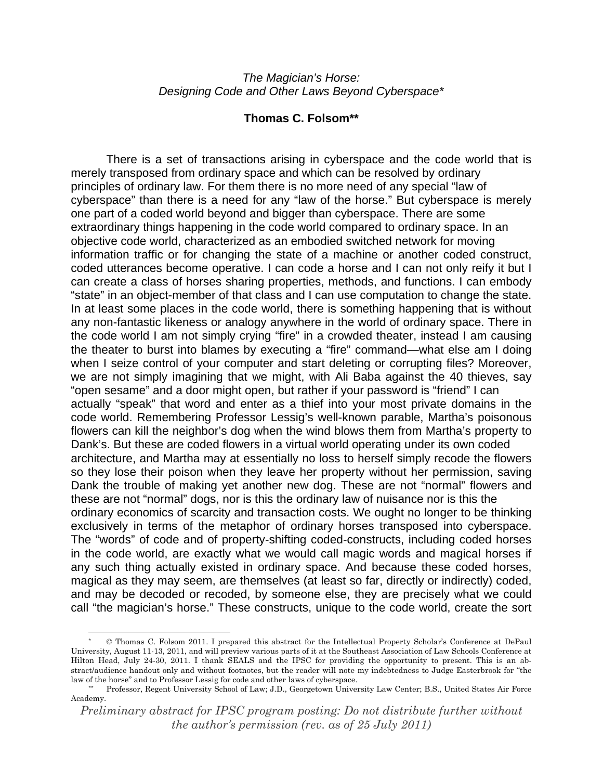## *The Magician's Horse: Designing Code and Other Laws Beyond Cyberspace\**

## **Thomas C. Folsom\*\***

There is a set of transactions arising in cyberspace and the code world that is merely transposed from ordinary space and which can be resolved by ordinary principles of ordinary law. For them there is no more need of any special "law of cyberspace" than there is a need for any "law of the horse." But cyberspace is merely one part of a coded world beyond and bigger than cyberspace. There are some extraordinary things happening in the code world compared to ordinary space. In an objective code world, characterized as an embodied switched network for moving information traffic or for changing the state of a machine or another coded construct, coded utterances become operative. I can code a horse and I can not only reify it but I can create a class of horses sharing properties, methods, and functions. I can embody "state" in an object-member of that class and I can use computation to change the state. In at least some places in the code world, there is something happening that is without any non-fantastic likeness or analogy anywhere in the world of ordinary space. There in the code world I am not simply crying "fire" in a crowded theater, instead I am causing the theater to burst into blames by executing a "fire" command—what else am I doing when I seize control of your computer and start deleting or corrupting files? Moreover, we are not simply imagining that we might, with Ali Baba against the 40 thieves, say "open sesame" and a door might open, but rather if your password is "friend" I can actually "speak" that word and enter as a thief into your most private domains in the code world. Remembering Professor Lessig's well-known parable, Martha's poisonous flowers can kill the neighbor's dog when the wind blows them from Martha's property to Dank's. But these are coded flowers in a virtual world operating under its own coded architecture, and Martha may at essentially no loss to herself simply recode the flowers so they lose their poison when they leave her property without her permission, saving Dank the trouble of making yet another new dog. These are not "normal" flowers and these are not "normal" dogs, nor is this the ordinary law of nuisance nor is this the ordinary economics of scarcity and transaction costs. We ought no longer to be thinking exclusively in terms of the metaphor of ordinary horses transposed into cyberspace. The "words" of code and of property-shifting coded-constructs, including coded horses in the code world, are exactly what we would call magic words and magical horses if any such thing actually existed in ordinary space. And because these coded horses, magical as they may seem, are themselves (at least so far, directly or indirectly) coded, and may be decoded or recoded, by someone else, they are precisely what we could call "the magician's horse." These constructs, unique to the code world, create the sort

 $\overline{a}$ 

<sup>\* ©</sup> Thomas C. Folsom 2011. I prepared this abstract for the Intellectual Property Scholar's Conference at DePaul University, August 11-13, 2011, and will preview various parts of it at the Southeast Association of Law Schools Conference at Hilton Head, July 24-30, 2011. I thank SEALS and the IPSC for providing the opportunity to present. This is an abstract/audience handout only and without footnotes, but the reader will note my indebtedness to Judge Easterbrook for "the law of the horse" and to Professor Lessig for code and other laws of cyberspace.<br>\*\* Professor, Regent University School of Law; J.D., Georgetown University Law Center; B.S., United States Air Force

Academy.

*Preliminary abstract for IPSC program posting: Do not distribute further without the author's permission (rev. as of 25 July 2011)*